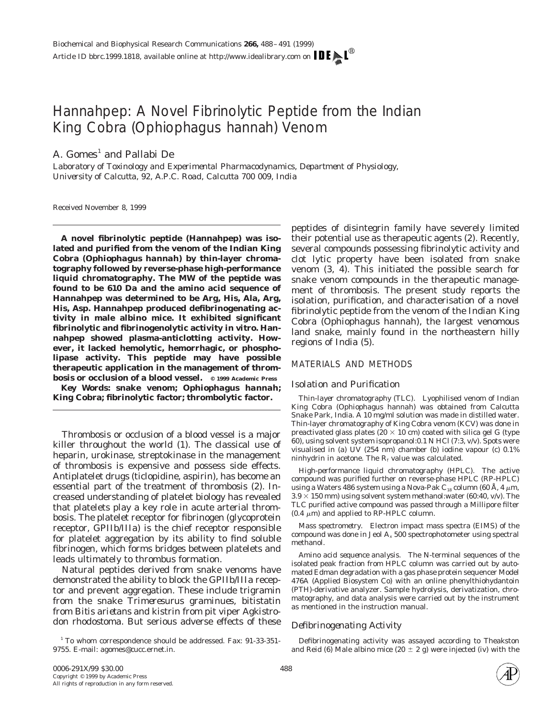# Hannahpep: A Novel Fibrinolytic Peptide from the Indian King Cobra (*Ophiophagus hannah*) Venom

A.  $Gomes<sup>1</sup>$  and Pallabi De

*Laboratory of Toxinology and Experimental Pharmacodynamics, Department of Physiology, University of Calcutta, 92, A.P.C. Road, Calcutta 700 009, India*

Received November 8, 1999

**A novel fibrinolytic peptide (Hannahpep) was isolated and purified from the venom of the Indian King Cobra (***Ophiophagus hannah***) by thin-layer chromatography followed by reverse-phase high-performance liquid chromatography. The MW of the peptide was found to be 610 Da and the amino acid sequence of Hannahpep was determined to be Arg, His, Ala, Arg, His, Asp. Hannahpep produced defibrinogenating activity in male albino mice. It exhibited significant fibrinolytic and fibrinogenolytic activity** *in vitro.* **Hannahpep showed plasma-anticlotting activity. However, it lacked hemolytic, hemorrhagic, or phospholipase activity. This peptide may have possible therapeutic application in the management of thrombosis or occlusion of a blood vessel. © 1999 Academic Press**

*Key Words:* **snake venom;** *Ophiophagus hannah;* **King Cobra; fibrinolytic factor; thrombolytic factor.**

Thrombosis or occlusion of a blood vessel is a major killer throughout the world (1). The classical use of heparin, urokinase, streptokinase in the management of thrombosis is expensive and possess side effects. Antiplatelet drugs (ticlopidine, aspirin), has become an essential part of the treatment of thrombosis (2). Increased understanding of platelet biology has revealed that platelets play a key role in acute arterial thrombosis. The platelet receptor for fibrinogen (glycoprotein receptor, GPIIb/IIIa) is the chief receptor responsible for platelet aggregation by its ability to find soluble fibrinogen, which forms bridges between platelets and leads ultimately to thrombus formation.

Natural peptides derived from snake venoms have demonstrated the ability to block the GPIIb/IIIa receptor and prevent aggregation. These include trigramin from the snake *Trimeresurus graminues,* bitistatin from *Bitis arietans* and kistrin from pit viper *Agkistrodon rhodostoma.* But serious adverse effects of these

<sup>1</sup> To whom correspondence should be addressed. Fax: 91-33-351-9755. E-mail: agomes@cucc.ernet.in.

peptides of disintegrin family have severely limited their potential use as therapeutic agents (2). Recently, several compounds possessing fibrinolytic activity and clot lytic property have been isolated from snake venom (3, 4). This initiated the possible search for snake venom compounds in the therapeutic management of thrombosis. The present study reports the isolation, purification, and characterisation of a novel fibrinolytic peptide from the venom of the Indian King Cobra (*Ophiophagus hannah*), the largest venomous land snake, mainly found in the northeastern hilly regions of India (5).

# MATERIALS AND METHODS

# *Isolation and Purification*

*Thin-layer chromatography (TLC).* Lyophilised venom of Indian King Cobra (*Ophiophagus hannah*) was obtained from Calcutta Snake Park, India. A 10 mg/ml solution was made in distilled water. Thin-layer chromatography of King Cobra venom (KCV) was done in preactivated glass plates (20  $\times$  10 cm) coated with silica gel G (type 60), using solvent system isopropanol:0.1 N HCl (7:3, v/v). Spots were visualised in (a) UV (254 nm) chamber (b) iodine vapour (c) 0.1% ninhydrin in acetone. The  $R_f$  value was calculated.

*High-performance liquid chromatography (HPLC).* The active compound was purified further on reverse-phase HPLC (RP-HPLC) using a Waters 486 system using a Nova-Pak C<sub>18</sub> column (60 Å, 4  $\mu$ m,  $3.9 \times 150$  mm) using solvent system methanol:water (60:40, v/v). The TLC purified active compound was passed through a Millipore filter  $(0.4 \mu m)$  and applied to RP-HPLC column.

*Mass spectrometry.* Electron impact mass spectra (EIMS) of the compound was done in Jeol  $A_x$  500 spectrophotometer using spectral methanol.

*Amino acid sequence analysis.* The N-terminal sequences of the isolated peak fraction from HPLC column was carried out by automated Edman degradation with a gas phase protein sequencer Model 476A (Applied Biosystem Co) with an online phenylthiohydantoin (PTH)-derivative analyzer. Sample hydrolysis, derivatization, chromatography, and data analysis were carried out by the instrument as mentioned in the instruction manual.

# *Defibrinogenating Activity*

Defibrinogenating activity was assayed according to Theakston and Reid (6) Male albino mice (20  $\pm$  2 g) were injected (iv) with the

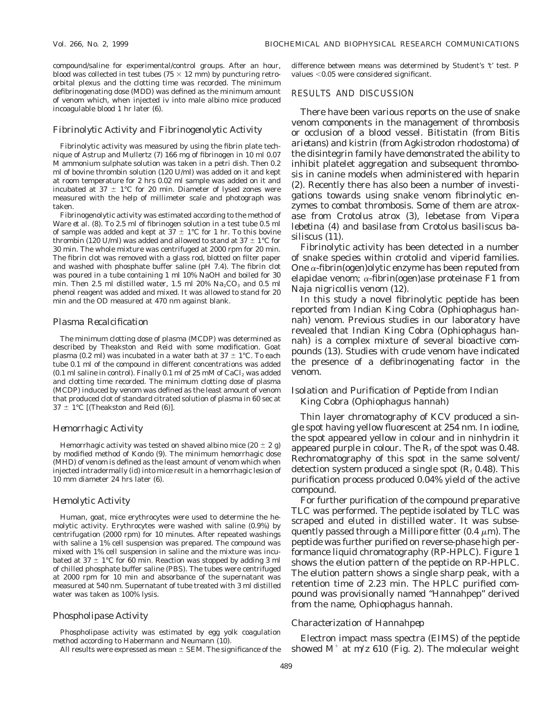compound/saline for experimental/control groups. After an hour, blood was collected in test tubes ( $75 \times 12$  mm) by puncturing retroorbital plexus and the clotting time was recorded. The minimum defibrinogenating dose (MDD) was defined as the minimum amount of venom which, when injected iv into male albino mice produced incoagulable blood 1 hr later (6).

#### *Fibrinolytic Activity and Fibrinogenolytic Activity*

Fibrinolytic activity was measured by using the fibrin plate technique of Astrup and Mullertz (7) 166 mg of fibrinogen in 10 ml 0.07 M ammonium sulphate solution was taken in a petri dish. Then 0.2 ml of bovine thrombin solution (120 U/ml) was added on it and kept at room temperature for 2 hrs 0.02 ml sample was added on it and incubated at  $37 \pm 1^{\circ}$ C for 20 min. Diameter of lysed zones were measured with the help of millimeter scale and photograph was taken.

Fibrinogenolytic activity was estimated according to the method of Ware *et al.* (8). To 2.5 ml of fibrinogen solution in a test tube 0.5 ml of sample was added and kept at  $37 \pm 1^{\circ}$ C for 1 hr. To this bovine thrombin (120 U/ml) was added and allowed to stand at 37  $\pm$  1°C for 30 min. The whole mixture was centrifuged at 2000 rpm for 20 min. The fibrin clot was removed with a glass rod, blotted on filter paper and washed with phosphate buffer saline (pH 7.4). The fibrin clot was poured in a tube containing 1 ml 10% NaOH and boiled for 30 min. Then 2.5 ml distilled water, 1.5 ml 20%  $\text{Na}_2\text{CO}_3$  and 0.5 ml phenol reagent was added and mixed. It was allowed to stand for 20 min and the OD measured at 470 nm against blank.

#### *Plasma Recalcification*

The minimum clotting dose of plasma (MCDP) was determined as described by Theakston and Reid with some modification. Goat plasma (0.2 ml) was incubated in a water bath at  $37 \pm 1$ °C. To each tube 0.1 ml of the compound in different concentrations was added  $(0.1 \text{ ml saline in control})$ . Finally 0.1 ml of 25 mM of CaCl<sub>2</sub> was added and clotting time recorded. The minimum clotting dose of plasma (MCDP) induced by venom was defined as the least amount of venom that produced clot of standard citrated solution of plasma in 60 sec at  $37 \pm 1^{\circ}$ C [(Theakston and Reid (6)].

#### *Hemorrhagic Activity*

Hemorrhagic activity was tested on shaved albino mice  $(20 \pm 2 \text{ g})$ by modified method of Kondo (9). The minimum hemorrhagic dose (MHD) of venom is defined as the least amount of venom which when injected intradermally (id) into mice result in a hemorrhagic lesion of 10 mm diameter 24 hrs later (6).

#### *Hemolytic Activity*

Human, goat, mice erythrocytes were used to determine the hemolytic activity. Erythrocytes were washed with saline (0.9%) by centrifugation (2000 rpm) for 10 minutes. After repeated washings with saline a 1% cell suspension was prepared. The compound was mixed with 1% cell suspension in saline and the mixture was incubated at 37  $\pm$  1°C for 60 min. Reaction was stopped by adding 3 ml of chilled phosphate buffer saline (PBS). The tubes were centrifuged at 2000 rpm for 10 min and absorbance of the supernatant was measured at 540 nm. Supernatant of tube treated with 3 ml distilled water was taken as 100% lysis.

#### *Phospholipase Activity*

Phospholipase activity was estimated by egg yolk coagulation method according to Habermann and Neumann (10).

All results were expressed as mean  $\pm$  SEM. The significance of the

difference between means was determined by Student's 't' test. P values  $<$  0.05 were considered significant.

#### RESULTS AND DISCUSSION

There have been various reports on the use of snake venom components in the management of thrombosis or occlusion of a blood vessel. Bitistatin (from *Bitis arietans*) and kistrin (from *Agkistrodon rhodostoma*) of the disintegrin family have demonstrated the ability to inhibit platelet aggregation and subsequent thrombosis in canine models when administered with heparin (2). Recently there has also been a number of investigations towards using snake venom fibrinolytic enzymes to combat thrombosis. Some of them are atroxase from *Crotolus atrox* (3), lebetase from *Vipera lebetina* (4) and basilase from *Crotolus basiliscus basiliscus* (11).

Fibrinolytic activity has been detected in a number of snake species within crotolid and viperid families. One  $\alpha$ -fibrin(ogen)olytic enzyme has been reputed from elapidae venom;  $\alpha$ -fibrin(ogen)ase proteinase F1 from *Naja nigricollis* venom (12).

In this study a novel fibrinolytic peptide has been reported from Indian King Cobra (*Ophiophagus hannah*) venom. Previous studies in our laboratory have revealed that Indian King Cobra (*Ophiophagus hannah*) is a complex mixture of several bioactive compounds (13). Studies with crude venom have indicated the presence of a defibrinogenating factor in the venom.

# *Isolation and Purification of Peptide from Indian King Cobra (Ophiophagus hannah)*

Thin layer chromatography of KCV produced a single spot having yellow fluorescent at 254 nm. In iodine, the spot appeared yellow in colour and in ninhydrin it appeared purple in colour. The  $R_f$  of the spot was 0.48. Rechromatography of this spot in the same solvent/ detection system produced a single spot  $(R<sub>f</sub> 0.48)$ . This purification process produced 0.04% yield of the active compound.

For further purification of the compound preparative TLC was performed. The peptide isolated by TLC was scraped and eluted in distilled water. It was subsequently passed through a Millipore fitter  $(0.4 \mu m)$ . The peptide was further purified on reverse-phase high performance liquid chromatography (RP-HPLC). Figure 1 shows the elution pattern of the peptide on RP-HPLC. The elution pattern shows a single sharp peak, with a retention time of 2.23 min. The HPLC purified compound was provisionally named "Hannahpep" derived from the name, *Ophiophagus hannah.*

## *Characterization of Hannahpep*

Electron impact mass spectra (EIMS) of the peptide showed  $M^+$  at  $m/z$  610 (Fig. 2). The molecular weight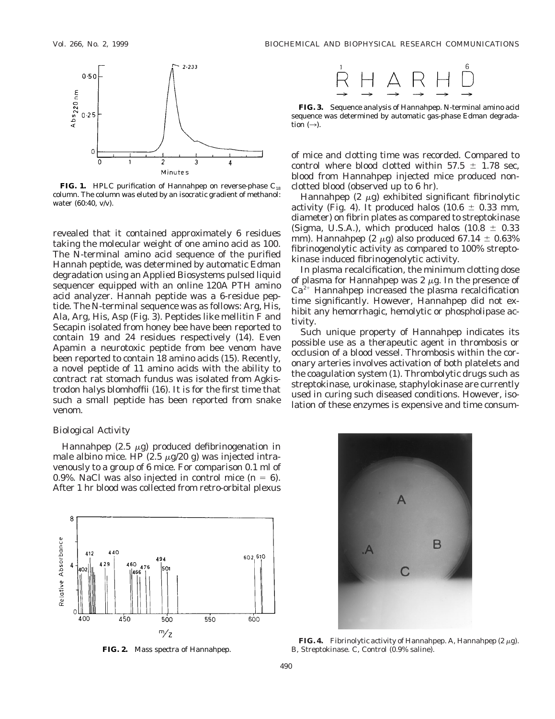

**FIG. 1.** HPLC purification of Hannahpep on reverse-phase C<sub>18</sub> column. The column was eluted by an isocratic gradient of methanol: water (60:40, v/v).

revealed that it contained approximately 6 residues taking the molecular weight of one amino acid as 100. The N-terminal amino acid sequence of the purified Hannah peptide, was determined by automatic Edman degradation using an Applied Biosystems pulsed liquid sequencer equipped with an online 120A PTH amino acid analyzer. Hannah peptide was a 6-residue peptide. The N-terminal sequence was as follows: Arg, His, Ala, Arg, His, Asp (Fig. 3). Peptides like mellitin F and Secapin isolated from honey bee have been reported to contain 19 and 24 residues respectively (14). Even Apamin a neurotoxic peptide from bee venom have been reported to contain 18 amino acids (15). Recently, a novel peptide of 11 amino acids with the ability to contract rat stomach fundus was isolated from *Agkistrodon halys blomhoffii* (16). It is for the first time that such a small peptide has been reported from snake venom.

#### *Biological Activity*

Hannahpep  $(2.5 \mu g)$  produced defibrinogenation in male albino mice. HP (2.5  $\mu$ g/20 g) was injected intravenously to a group of 6 mice. For comparison 0.1 ml of 0.9%. NaCl was also injected in control mice  $(n = 6)$ . After 1 hr blood was collected from retro-orbital plexus



**FIG. 2.** Mass spectra of Hannahpep.



**FIG. 3.** Sequence analysis of Hannahpep. N-terminal amino acid sequence was determined by automatic gas-phase Edman degradation  $(\rightarrow)$ .

of mice and clotting time was recorded. Compared to control where blood clotted within  $57.5 \pm 1.78$  sec, blood from Hannahpep injected mice produced nonclotted blood (observed up to 6 hr).

Hannahpep  $(2 \mu g)$  exhibited significant fibrinolytic activity (Fig. 4). It produced halos (10.6  $\pm$  0.33 mm, diameter) on fibrin plates as compared to streptokinase (Sigma, U.S.A.), which produced halos (10.8  $\pm$  0.33 mm). Hannahpep (2  $\mu$ g) also produced 67.14  $\pm$  0.63% fibrinogenolytic activity as compared to 100% streptokinase induced fibrinogenolytic activity.

In plasma recalcification, the minimum clotting dose of plasma for Hannahpep was  $2 \mu$ g. In the presence of  $Ca^{2+}$  Hannahpep increased the plasma recalcification time significantly. However, Hannahpep did not exhibit any hemorrhagic, hemolytic or phospholipase activity.

Such unique property of Hannahpep indicates its possible use as a therapeutic agent in thrombosis or occlusion of a blood vessel. Thrombosis within the coronary arteries involves activation of both platelets and the coagulation system (1). Thrombolytic drugs such as streptokinase, urokinase, staphylokinase are currently used in curing such diseased conditions. However, isolation of these enzymes is expensive and time consum-



**FIG. 4.** Fibrinolytic activity of Hannahpep. A, Hannahpep  $(2 \mu g)$ . B, Streptokinase. C, Control (0.9% saline).